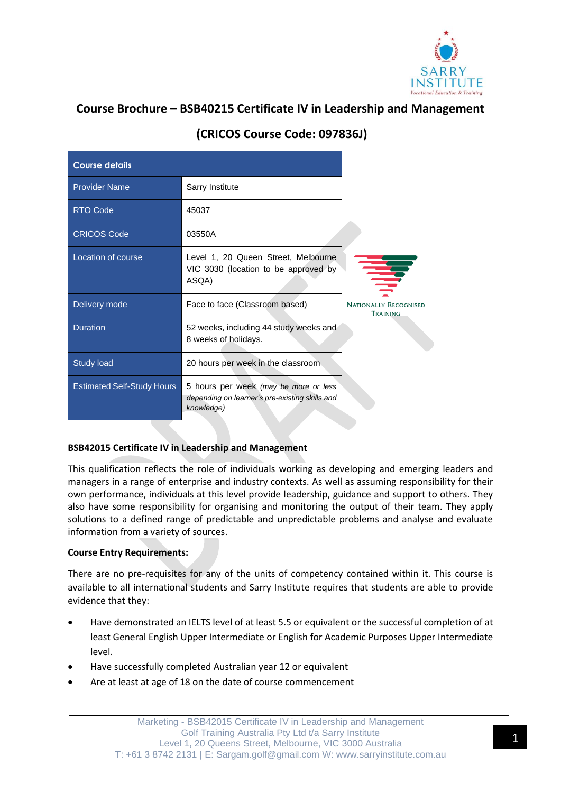

# **Course Brochure – BSB40215 Certificate IV in Leadership and Management**

| <b>Course details</b>             |                                                                                                       |                                          |
|-----------------------------------|-------------------------------------------------------------------------------------------------------|------------------------------------------|
| <b>Provider Name</b>              | Sarry Institute                                                                                       |                                          |
| <b>RTO Code</b>                   | 45037                                                                                                 |                                          |
| <b>CRICOS Code</b>                | 03550A                                                                                                |                                          |
| Location of course                | Level 1, 20 Queen Street, Melbourne<br>VIC 3030 (location to be approved by<br>ASQA)                  | ≣                                        |
| Delivery mode                     | Face to face (Classroom based)                                                                        | <b>NATIONALLY RECOGNISED</b><br>TRAINING |
| <b>Duration</b>                   | 52 weeks, including 44 study weeks and<br>8 weeks of holidays.                                        |                                          |
| <b>Study load</b>                 | 20 hours per week in the classroom.                                                                   |                                          |
| <b>Estimated Self-Study Hours</b> | 5 hours per week (may be more or less<br>depending on learner's pre-existing skills and<br>knowledge) |                                          |

# **(CRICOS Course Code: 097836J)**

# **BSB42015 Certificate IV in Leadership and Management**

This qualification reflects the role of individuals working as developing and emerging leaders and managers in a range of enterprise and industry contexts. As well as assuming responsibility for their own performance, individuals at this level provide leadership, guidance and support to others. They also have some responsibility for organising and monitoring the output of their team. They apply solutions to a defined range of predictable and unpredictable problems and analyse and evaluate information from a variety of sources.

# **Course Entry Requirements:**

There are no pre-requisites for any of the units of competency contained within it. This course is available to all international students and Sarry Institute requires that students are able to provide evidence that they:

- Have demonstrated an IELTS level of at least 5.5 or equivalent or the successful completion of at least General English Upper Intermediate or English for Academic Purposes Upper Intermediate level.
- Have successfully completed Australian year 12 or equivalent
- Are at least at age of 18 on the date of course commencement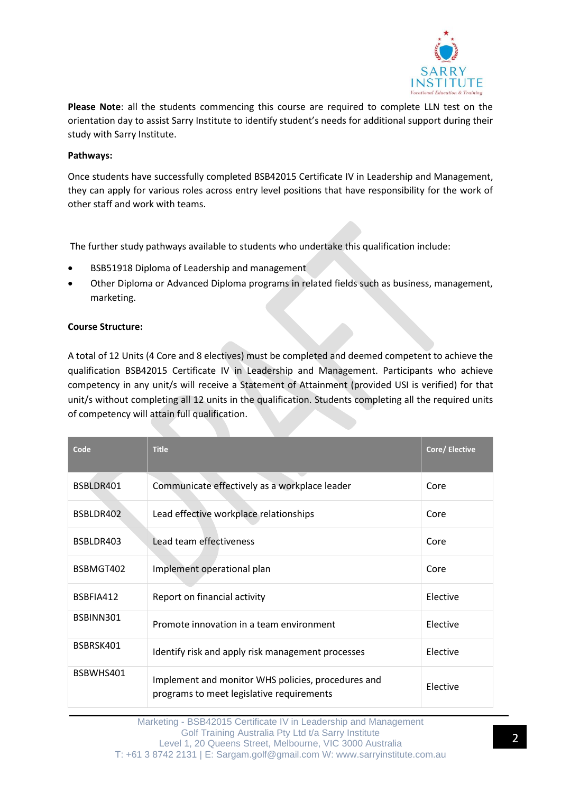

**Please Note**: all the students commencing this course are required to complete LLN test on the orientation day to assist Sarry Institute to identify student's needs for additional support during their study with Sarry Institute.

#### **Pathways:**

Once students have successfully completed BSB42015 Certificate IV in Leadership and Management, they can apply for various roles across entry level positions that have responsibility for the work of other staff and work with teams.

The further study pathways available to students who undertake this qualification include:

- BSB51918 Diploma of Leadership and management
- Other Diploma or Advanced Diploma programs in related fields such as business, management, marketing.

#### **Course Structure:**

A total of 12 Units (4 Core and 8 electives) must be completed and deemed competent to achieve the qualification BSB42015 Certificate IV in Leadership and Management. Participants who achieve competency in any unit/s will receive a Statement of Attainment (provided USI is verified) for that unit/s without completing all 12 units in the qualification. Students completing all the required units of competency will attain full qualification.

| Code      | <b>Title</b>                                                                                    | Core/ Elective |
|-----------|-------------------------------------------------------------------------------------------------|----------------|
| BSBLDR401 | Communicate effectively as a workplace leader                                                   | Core           |
| BSBLDR402 | Lead effective workplace relationships                                                          | Core           |
| BSBLDR403 | Lead team effectiveness                                                                         | Core           |
| BSBMGT402 | Implement operational plan                                                                      | Core           |
| BSBFIA412 | Report on financial activity                                                                    | Elective       |
| BSBINN301 | Promote innovation in a team environment                                                        | Elective       |
| BSBRSK401 | Identify risk and apply risk management processes                                               | Elective       |
| BSBWHS401 | Implement and monitor WHS policies, procedures and<br>programs to meet legislative requirements | Elective       |